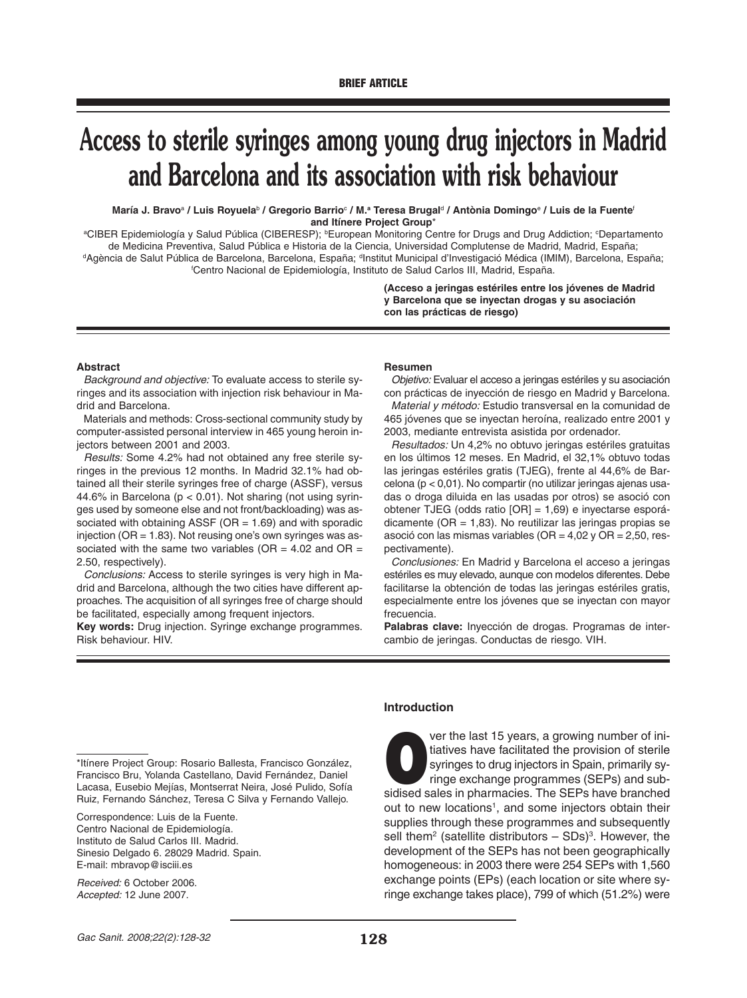# **Access to sterile syringes among young drug injectors in Madrid and Barcelona and its association with risk behaviour**

**María J. Bravo**<sup>a</sup> **/ Luis Royuela**<sup>b</sup> **/ Gregorio Barrio**<sup>c</sup> **/ M.a Teresa Brugal**<sup>d</sup> **/ Antònia Domingo**<sup>e</sup> **/ Luis de la Fuente**<sup>f</sup> **and Itínere Project Group**\*

ªCIBER Epidemiología y Salud Pública (CIBERESP); <sup>ь</sup>European Monitoring Centre for Drugs and Drug Addiction; °Departamento de Medicina Preventiva, Salud Pública e Historia de la Ciencia, Universidad Complutense de Madrid, Madrid, España;<br><sup>d</sup>Agència de Salut Pública de Barcelona, Barcelona, España; <sup>d</sup>Institut Municipal d'Investigació Médica (I f Centro Nacional de Epidemiología, Instituto de Salud Carlos III, Madrid, España.

> **(Acceso a jeringas estériles entre los jóvenes de Madrid y Barcelona que se inyectan drogas y su asociación con las prácticas de riesgo)**

#### **Abstract**

Background and objective: To evaluate access to sterile syringes and its association with injection risk behaviour in Madrid and Barcelona.

Materials and methods: Cross-sectional community study by computer-assisted personal interview in 465 young heroin injectors between 2001 and 2003.

Results: Some 4.2% had not obtained any free sterile syringes in the previous 12 months. In Madrid 32.1% had obtained all their sterile syringes free of charge (ASSF), versus 44.6% in Barcelona ( $p < 0.01$ ). Not sharing (not using syringes used by someone else and not front/backloading) was associated with obtaining ASSF ( $OR = 1.69$ ) and with sporadic injection ( $OR = 1.83$ ). Not reusing one's own syringes was associated with the same two variables ( $OR = 4.02$  and  $OR = 1$ 2.50, respectively).

Conclusions: Access to sterile syringes is very high in Madrid and Barcelona, although the two cities have different approaches. The acquisition of all syringes free of charge should be facilitated, especially among frequent injectors.

**Key words:** Drug injection. Syringe exchange programmes. Risk behaviour. HIV.

#### **Resumen**

Objetivo: Evaluar el acceso a jeringas estériles y su asociación con prácticas de inyección de riesgo en Madrid y Barcelona.

Material y método: Estudio transversal en la comunidad de 465 jóvenes que se inyectan heroína, realizado entre 2001 y 2003, mediante entrevista asistida por ordenador.

Resultados: Un 4,2% no obtuvo jeringas estériles gratuitas en los últimos 12 meses. En Madrid, el 32,1% obtuvo todas las jeringas estériles gratis (TJEG), frente al 44,6% de Barcelona (p < 0,01). No compartir (no utilizar jeringas ajenas usadas o droga diluida en las usadas por otros) se asoció con obtener TJEG (odds ratio [OR] = 1,69) e inyectarse esporádicamente (OR = 1,83). No reutilizar las jeringas propias se asoció con las mismas variables (OR = 4,02 y OR = 2,50, respectivamente).

Conclusiones: En Madrid y Barcelona el acceso a jeringas estériles es muy elevado, aunque con modelos diferentes. Debe facilitarse la obtención de todas las jeringas estériles gratis, especialmente entre los jóvenes que se inyectan con mayor frecuencia.

**Palabras clave:** Inyección de drogas. Programas de intercambio de jeringas. Conductas de riesgo. VIH.

\*Itínere Project Group: Rosario Ballesta, Francisco González, Francisco Bru, Yolanda Castellano, David Fernández, Daniel Lacasa, Eusebio Mejías, Montserrat Neira, José Pulido, Sofía Ruiz, Fernando Sánchez, Teresa C Silva y Fernando Vallejo.

Correspondence: Luis de la Fuente. Centro Nacional de Epidemiología. Instituto de Salud Carlos III. Madrid. Sinesio Delgado 6. 28029 Madrid. Spain. E-mail: mbravop@isciii.es

Received: 6 October 2006. Accepted: 12 June 2007.

## **Introduction**

ver the last 15 years, a growing number of initiatives have facilitated the provision of sterile syringes to drug injectors in Spain, primarily syringe exchange programmes (SEPs) and subsidised sales in pharmacies. The SEPs have branched out to new locations<sup>1</sup>, and some injectors obtain their supplies through these programmes and subsequently sell them<sup>2</sup> (satellite distributors  $-$  SDs)<sup>3</sup>. However, the development of the SEPs has not been geographically homogeneous: in 2003 there were 254 SEPs with 1,560 exchange points (EPs) (each location or site where syringe exchange takes place), 799 of which (51.2%) were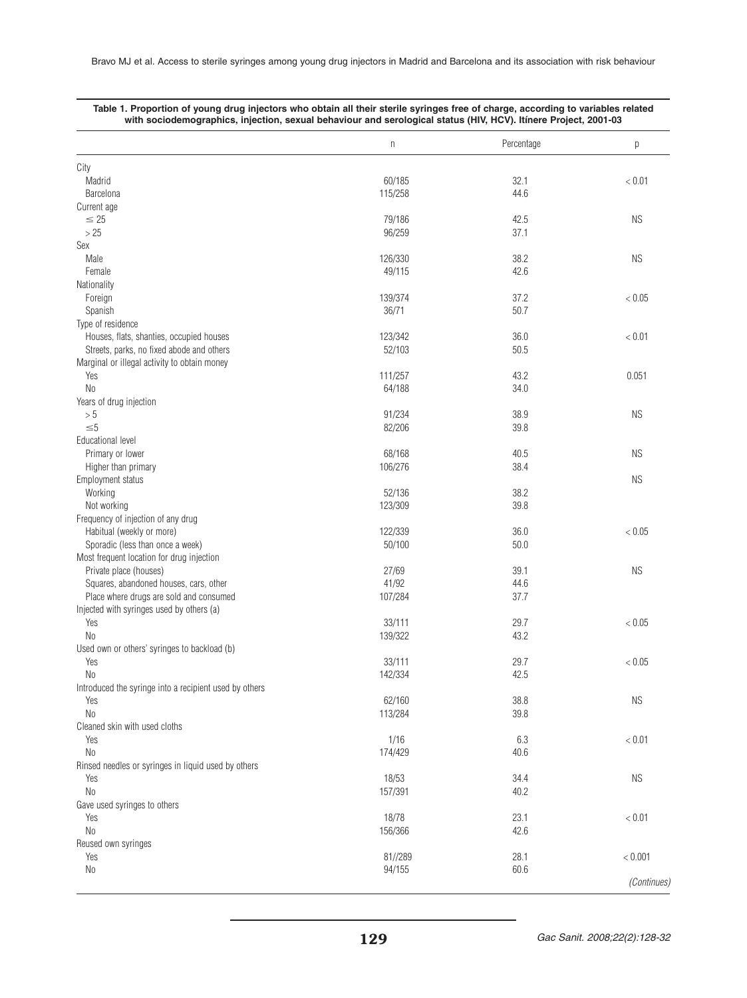|                                                        | n                 | Percentage   | р         |
|--------------------------------------------------------|-------------------|--------------|-----------|
| City                                                   |                   |              |           |
| Madrid                                                 | 60/185            | 32.1         | < 0.01    |
| Barcelona                                              | 115/258           | 44.6         |           |
| Current age                                            |                   |              |           |
| $\leq 25$                                              | 79/186            | 42.5         | <b>NS</b> |
| >25                                                    | 96/259            | 37.1         |           |
| Sex                                                    |                   |              |           |
| Male                                                   | 126/330           | 38.2         | <b>NS</b> |
| Female                                                 | 49/115            | 42.6         |           |
| Nationality                                            |                   |              |           |
| Foreign                                                | 139/374           | 37.2         | < 0.05    |
| Spanish                                                | 36/71             | 50.7         |           |
| Type of residence                                      |                   |              |           |
| Houses, flats, shanties, occupied houses               | 123/342           | 36.0         | < 0.01    |
| Streets, parks, no fixed abode and others              | 52/103            | 50.5         |           |
| Marginal or illegal activity to obtain money           |                   |              |           |
| Yes                                                    | 111/257           | 43.2         | 0.051     |
| N <sub>0</sub>                                         | 64/188            | 34.0         |           |
| Years of drug injection                                |                   |              |           |
| > 5                                                    | 91/234            | 38.9         | <b>NS</b> |
| $\leq 5$                                               | 82/206            | 39.8         |           |
| Educational level                                      |                   |              |           |
| Primary or lower                                       | 68/168            | 40.5         | <b>NS</b> |
| Higher than primary                                    | 106/276           | 38.4         |           |
| Employment status                                      |                   |              | <b>NS</b> |
| Working                                                | 52/136            | 38.2         |           |
| Not working                                            | 123/309           | 39.8         |           |
| Frequency of injection of any drug                     |                   |              |           |
| Habitual (weekly or more)                              | 122/339           | 36.0         | < 0.05    |
| Sporadic (less than once a week)                       | 50/100            | 50.0         |           |
| Most frequent location for drug injection              |                   |              |           |
| Private place (houses)                                 | 27/69             | 39.1         | <b>NS</b> |
| Squares, abandoned houses, cars, other                 | 41/92             | 44.6         |           |
| Place where drugs are sold and consumed                | 107/284           | 37.7         |           |
| Injected with syringes used by others (a)              |                   |              |           |
| Yes                                                    | 33/111            | 29.7         | < 0.05    |
| N <sub>0</sub>                                         | 139/322           | 43.2         |           |
| Used own or others' syringes to backload (b)           |                   |              |           |
| Yes                                                    | 33/111            | 29.7         | < 0.05    |
| N <sub>0</sub>                                         | 142/334           | 42.5         |           |
| Introduced the syringe into a recipient used by others |                   |              |           |
| Yes                                                    | 62/160            | 38.8         | <b>NS</b> |
| No                                                     | 113/284           | 39.8         |           |
| Cleaned skin with used cloths                          |                   |              |           |
| Yes                                                    | 1/16              | 6.3          | < 0.01    |
| N <sub>0</sub>                                         | 174/429           | 40.6         |           |
| Rinsed needles or syringes in liquid used by others    |                   |              |           |
| Yes                                                    | 18/53             | 34.4         | <b>NS</b> |
| N <sub>0</sub>                                         | 157/391           | 40.2         |           |
| Gave used syringes to others                           |                   |              |           |
| Yes                                                    | 18/78             | 23.1         | < 0.01    |
| No                                                     | 156/366           | 42.6         |           |
|                                                        |                   |              |           |
|                                                        |                   |              |           |
| Reused own syringes                                    |                   |              |           |
| Yes<br>No                                              | 81//289<br>94/155 | 28.1<br>60.6 | < 0.001   |

|  | Table 1. Proportion of young drug injectors who obtain all their sterile syringes free of charge, according to variables related |  |
|--|----------------------------------------------------------------------------------------------------------------------------------|--|
|  | with sociodemographics, injection, sexual behaviour and serological status (HIV, HCV). Itinere Project, 2001-03                  |  |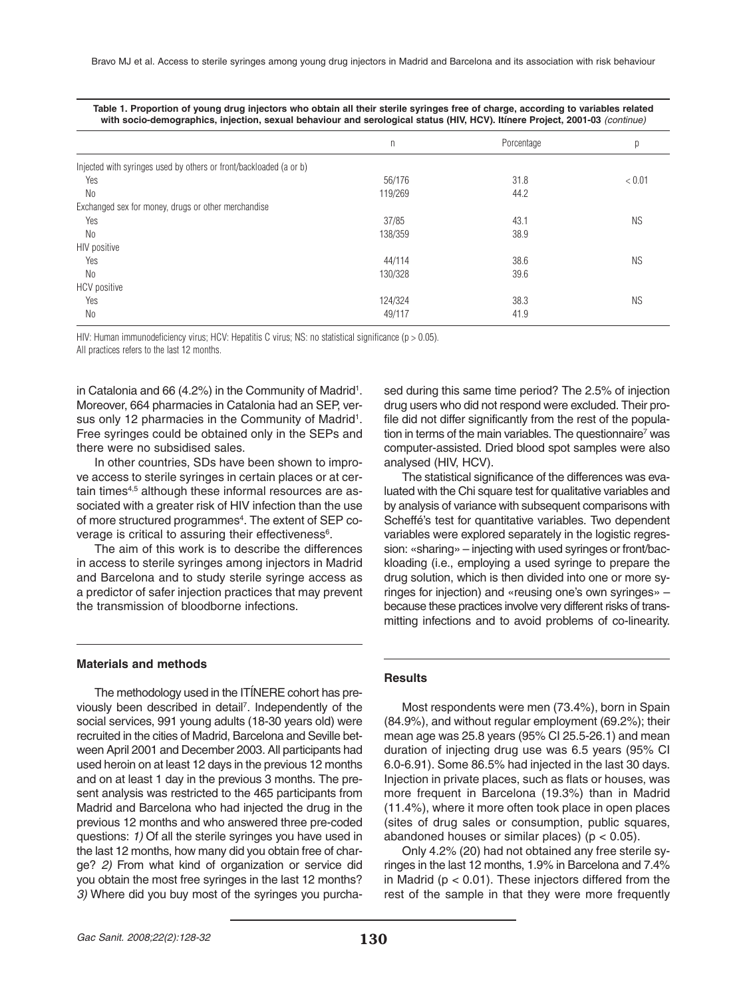|                                                                    | n       | Porcentage | р         |
|--------------------------------------------------------------------|---------|------------|-----------|
| Injected with syringes used by others or front/backloaded (a or b) |         |            |           |
| Yes                                                                | 56/176  | 31.8       | < 0.01    |
| N <sub>0</sub>                                                     | 119/269 | 44.2       |           |
| Exchanged sex for money, drugs or other merchandise                |         |            |           |
| Yes                                                                | 37/85   | 43.1       | <b>NS</b> |
| No                                                                 | 138/359 | 38.9       |           |
| HIV positive                                                       |         |            |           |
| Yes                                                                | 44/114  | 38.6       | <b>NS</b> |
| N <sub>0</sub>                                                     | 130/328 | 39.6       |           |
| <b>HCV</b> positive                                                |         |            |           |
| Yes                                                                | 124/324 | 38.3       | <b>NS</b> |
| N <sub>0</sub>                                                     | 49/117  | 41.9       |           |

**Table 1. Proportion of young drug injectors who obtain all their sterile syringes free of charge, according to variables related with socio-demographics, injection, sexual behaviour and serological status (HIV, HCV). Itínere Project, 2001-03** (continue)

HIV: Human immunodeficiency virus; HCV: Hepatitis C virus; NS: no statistical significance (p > 0.05). All practices refers to the last 12 months.

in Catalonia and 66 (4.2%) in the Community of Madrid<sup>1</sup>. Moreover, 664 pharmacies in Catalonia had an SEP, versus only 12 pharmacies in the Community of Madrid<sup>1</sup>. Free syringes could be obtained only in the SEPs and there were no subsidised sales.

In other countries, SDs have been shown to improve access to sterile syringes in certain places or at certain times<sup>4,5</sup> although these informal resources are associated with a greater risk of HIV infection than the use of more structured programmes<sup>4</sup>. The extent of SEP coverage is critical to assuring their effectiveness<sup>6</sup>.

The aim of this work is to describe the differences in access to sterile syringes among injectors in Madrid and Barcelona and to study sterile syringe access as a predictor of safer injection practices that may prevent the transmission of bloodborne infections.

#### **Materials and methods**

The methodology used in the ITÍNERE cohort has previously been described in detail<sup>7</sup>. Independently of the social services, 991 young adults (18-30 years old) were recruited in the cities of Madrid, Barcelona and Seville between April 2001 and December 2003. All participants had used heroin on at least 12 days in the previous 12 months and on at least 1 day in the previous 3 months. The present analysis was restricted to the 465 participants from Madrid and Barcelona who had injected the drug in the previous 12 months and who answered three pre-coded questions: 1) Of all the sterile syringes you have used in the last 12 months, how many did you obtain free of charge? 2) From what kind of organization or service did you obtain the most free syringes in the last 12 months? 3) Where did you buy most of the syringes you purchased during this same time period? The 2.5% of injection drug users who did not respond were excluded. Their profile did not differ significantly from the rest of the population in terms of the main variables. The questionnaire<sup>7</sup> was computer-assisted. Dried blood spot samples were also analysed (HIV, HCV).

The statistical significance of the differences was evaluated with the Chi square test for qualitative variables and by analysis of variance with subsequent comparisons with Scheffé's test for quantitative variables. Two dependent variables were explored separately in the logistic regression: «sharing» – injecting with used syringes or front/backloading (i.e., employing a used syringe to prepare the drug solution, which is then divided into one or more syringes for injection) and «reusing one's own syringes» – because these practices involve very different risks of transmitting infections and to avoid problems of co-linearity.

## **Results**

Most respondents were men (73.4%), born in Spain (84.9%), and without regular employment (69.2%); their mean age was 25.8 years (95% CI 25.5-26.1) and mean duration of injecting drug use was 6.5 years (95% CI 6.0-6.91). Some 86.5% had injected in the last 30 days. Injection in private places, such as flats or houses, was more frequent in Barcelona (19.3%) than in Madrid (11.4%), where it more often took place in open places (sites of drug sales or consumption, public squares, abandoned houses or similar places) ( $p < 0.05$ ).

Only 4.2% (20) had not obtained any free sterile syringes in the last 12 months, 1.9% in Barcelona and 7.4% in Madrid ( $p < 0.01$ ). These injectors differed from the rest of the sample in that they were more frequently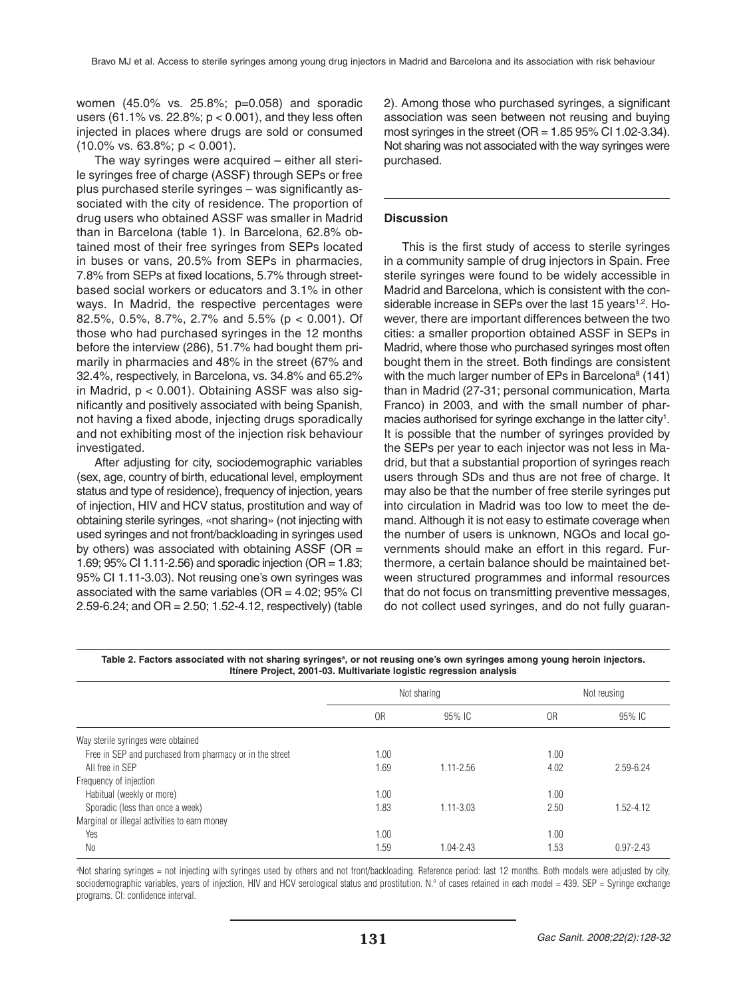women (45.0% vs. 25.8%; p=0.058) and sporadic users (61.1% vs. 22.8%;  $p < 0.001$ ), and they less often injected in places where drugs are sold or consumed  $(10.0\% \text{ vs. } 63.8\%; \text{ p} < 0.001).$ 

The way syringes were acquired – either all sterile syringes free of charge (ASSF) through SEPs or free plus purchased sterile syringes – was significantly associated with the city of residence. The proportion of drug users who obtained ASSF was smaller in Madrid than in Barcelona (table 1). In Barcelona, 62.8% obtained most of their free syringes from SEPs located in buses or vans, 20.5% from SEPs in pharmacies, 7.8% from SEPs at fixed locations, 5.7% through streetbased social workers or educators and 3.1% in other ways. In Madrid, the respective percentages were 82.5%, 0.5%, 8.7%, 2.7% and 5.5% (p < 0.001). Of those who had purchased syringes in the 12 months before the interview (286), 51.7% had bought them primarily in pharmacies and 48% in the street (67% and 32.4%, respectively, in Barcelona, vs. 34.8% and 65.2% in Madrid, p < 0.001). Obtaining ASSF was also significantly and positively associated with being Spanish, not having a fixed abode, injecting drugs sporadically and not exhibiting most of the injection risk behaviour investigated.

After adjusting for city, sociodemographic variables (sex, age, country of birth, educational level, employment status and type of residence), frequency of injection, years of injection, HIV and HCV status, prostitution and way of obtaining sterile syringes, «not sharing» (not injecting with used syringes and not front/backloading in syringes used by others) was associated with obtaining ASSF (OR = 1.69; 95% CI 1.11-2.56) and sporadic injection (OR = 1.83; 95% CI 1.11-3.03). Not reusing one's own syringes was associated with the same variables ( $OR = 4.02$ ; 95% CI 2.59-6.24; and OR = 2.50; 1.52-4.12, respectively) (table 2). Among those who purchased syringes, a significant association was seen between not reusing and buying most syringes in the street ( $OR = 1.85 95\%$  CI 1.02-3.34). Not sharing was not associated with the way syringes were purchased.

# **Discussion**

This is the first study of access to sterile syringes in a community sample of drug injectors in Spain. Free sterile syringes were found to be widely accessible in Madrid and Barcelona, which is consistent with the considerable increase in SEPs over the last 15 years<sup>1,2</sup>. However, there are important differences between the two cities: a smaller proportion obtained ASSF in SEPs in Madrid, where those who purchased syringes most often bought them in the street. Both findings are consistent with the much larger number of EPs in Barcelona<sup>8</sup> (141) than in Madrid (27-31; personal communication, Marta Franco) in 2003, and with the small number of pharmacies authorised for syringe exchange in the latter city<sup>1</sup>. It is possible that the number of syringes provided by the SEPs per year to each injector was not less in Madrid, but that a substantial proportion of syringes reach users through SDs and thus are not free of charge. It may also be that the number of free sterile syringes put into circulation in Madrid was too low to meet the demand. Although it is not easy to estimate coverage when the number of users is unknown, NGOs and local governments should make an effort in this regard. Furthermore, a certain balance should be maintained between structured programmes and informal resources that do not focus on transmitting preventive messages, do not collect used syringes, and do not fully guaran-

Table 2. Factors associated with not sharing syringes<sup>a</sup>, or not reusing one's own syringes among young heroin injectors. **Itínere Project, 2001-03. Multivariate logistic regression analysis**

|                                                          | Not sharing |               | Not reusing |               |
|----------------------------------------------------------|-------------|---------------|-------------|---------------|
|                                                          | 0R          | 95% IC        | 0R          | 95% IC        |
| Way sterile syringes were obtained                       |             |               |             |               |
| Free in SEP and purchased from pharmacy or in the street | 1.00        |               | 1.00        |               |
| All free in SEP                                          | 1.69        | $1.11 - 2.56$ | 4.02        | 2.59-6.24     |
| Frequency of injection                                   |             |               |             |               |
| Habitual (weekly or more)                                | 1.00        |               | 1.00        |               |
| Sporadic (less than once a week)                         | 1.83        | $1.11 - 3.03$ | 2.50        | $1.52 - 4.12$ |
| Marginal or illegal activities to earn money             |             |               |             |               |
| Yes                                                      | 1.00        |               | 1.00        |               |
| N <sub>0</sub>                                           | 1.59        | $1.04 - 2.43$ | 1.53        | $0.97 - 2.43$ |

a Not sharing syringes = not injecting with syringes used by others and not front/backloading. Reference period: last 12 months. Both models were adjusted by city, sociodemographic variables, years of injection, HIV and HCV serological status and prostitution. N.º of cases retained in each model = 439. SEP = Syringe exchange programs. CI: confidence interval.